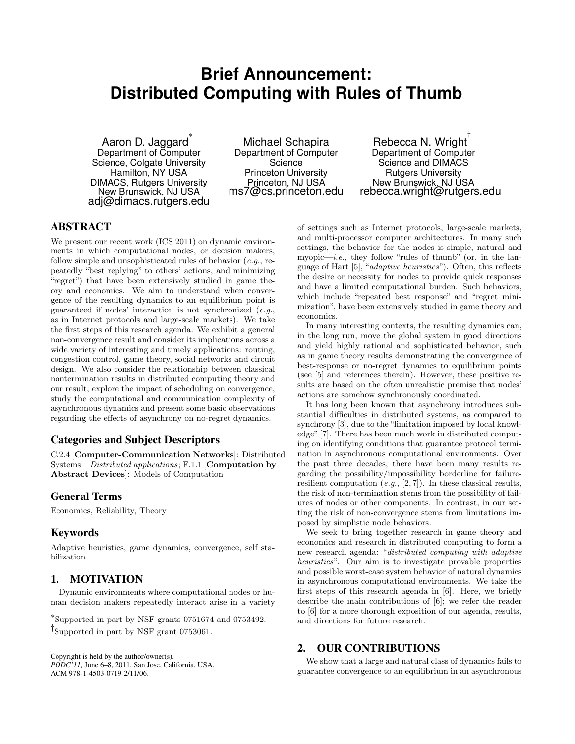# **Brief Announcement: Distributed Computing with Rules of Thumb**

Aaron D. Jaggard<sup>\*</sup> Department of Computer Science, Colgate University Hamilton, NY USA DIMACS, Rutgers University New Brunswick, NJ USA adj@dimacs.rutgers.edu

Michael Schapira Department of Computer Science Princeton University Princeton, NJ USA ms7@cs.princeton.edu

Rebecca N. Wright $^{\dagger}$ Department of Computer Science and DIMACS Rutgers University New Brunswick, NJ USA rebecca.wright@rutgers.edu

# ABSTRACT

We present our recent work (ICS 2011) on dynamic environments in which computational nodes, or decision makers, follow simple and unsophisticated rules of behavior (e.g., repeatedly "best replying" to others' actions, and minimizing "regret") that have been extensively studied in game theory and economics. We aim to understand when convergence of the resulting dynamics to an equilibrium point is guaranteed if nodes' interaction is not synchronized  $(e.q.,)$ as in Internet protocols and large-scale markets). We take the first steps of this research agenda. We exhibit a general non-convergence result and consider its implications across a wide variety of interesting and timely applications: routing, congestion control, game theory, social networks and circuit design. We also consider the relationship between classical nontermination results in distributed computing theory and our result, explore the impact of scheduling on convergence, study the computational and communication complexity of asynchronous dynamics and present some basic observations regarding the effects of asynchrony on no-regret dynamics.

## Categories and Subject Descriptors

C.2.4 [Computer-Communication Networks]: Distributed Systems—Distributed applications; F.1.1 [Computation by Abstract Devices]: Models of Computation

## General Terms

Economics, Reliability, Theory

## Keywords

Adaptive heuristics, game dynamics, convergence, self stabilization

# 1. MOTIVATION

Dynamic environments where computational nodes or human decision makers repeatedly interact arise in a variety

∗ Supported in part by NSF grants 0751674 and 0753492. † Supported in part by NSF grant 0753061.

Copyright is held by the author/owner(s). *PODC'11,* June 6–8, 2011, San Jose, California, USA. ACM 978-1-4503-0719-2/11/06.

of settings such as Internet protocols, large-scale markets, and multi-processor computer architectures. In many such settings, the behavior for the nodes is simple, natural and myopic—*i.e.*, they follow "rules of thumb" (or, in the language of Hart [5], "adaptive heuristics"). Often, this reflects the desire or necessity for nodes to provide quick responses and have a limited computational burden. Such behaviors, which include "repeated best response" and "regret minimization", have been extensively studied in game theory and economics.

In many interesting contexts, the resulting dynamics can, in the long run, move the global system in good directions and yield highly rational and sophisticated behavior, such as in game theory results demonstrating the convergence of best-response or no-regret dynamics to equilibrium points (see [5] and references therein). However, these positive results are based on the often unrealistic premise that nodes' actions are somehow synchronously coordinated.

It has long been known that asynchrony introduces substantial difficulties in distributed systems, as compared to synchrony [3], due to the "limitation imposed by local knowledge" [7]. There has been much work in distributed computing on identifying conditions that guarantee protocol termination in asynchronous computational environments. Over the past three decades, there have been many results regarding the possibility/impossibility borderline for failureresilient computation  $(e.g., [2, 7])$ . In these classical results, the risk of non-termination stems from the possibility of failures of nodes or other components. In contrast, in our setting the risk of non-convergence stems from limitations imposed by simplistic node behaviors.

We seek to bring together research in game theory and economics and research in distributed computing to form a new research agenda: "distributed computing with adaptive heuristics". Our aim is to investigate provable properties and possible worst-case system behavior of natural dynamics in asynchronous computational environments. We take the first steps of this research agenda in [6]. Here, we briefly describe the main contributions of [6]; we refer the reader to [6] for a more thorough exposition of our agenda, results, and directions for future research.

# 2. OUR CONTRIBUTIONS

We show that a large and natural class of dynamics fails to guarantee convergence to an equilibrium in an asynchronous